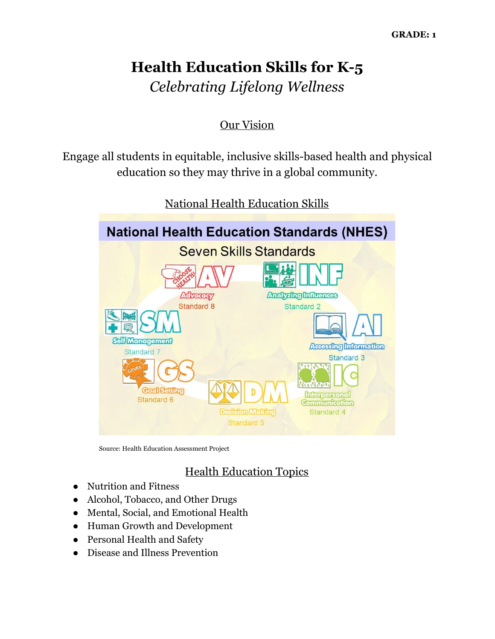# **Health Education Skills for K-5** *Celebrating Lifelong Wellness*

### Our Vision

Engage all students in equitable, inclusive skills-based health and physical education so they may thrive in a global community.



National Health Education Skills

Source: Health Education Assessment Project

# Health Education Topics

- Nutrition and Fitness
- Alcohol, Tobacco, and Other Drugs
- Mental, Social, and Emotional Health
- Human Growth and Development
- Personal Health and Safety
- Disease and Illness Prevention